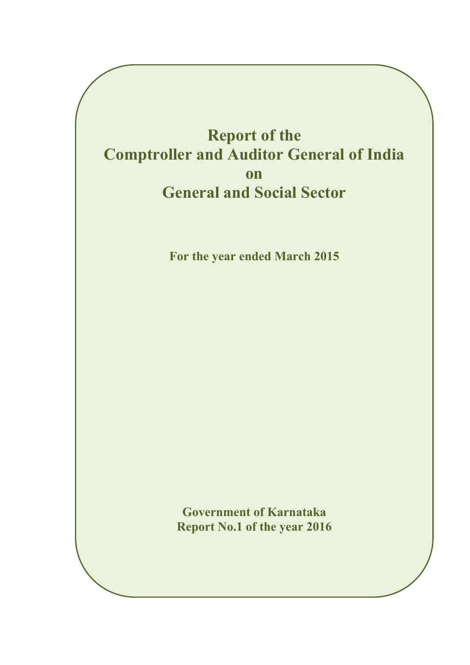## **Report of the Comptroller and Auditor General of India on General and Social Sector**

**For the year ended March 2015** 

**Government of Karnataka Report No.1 of the year 2016**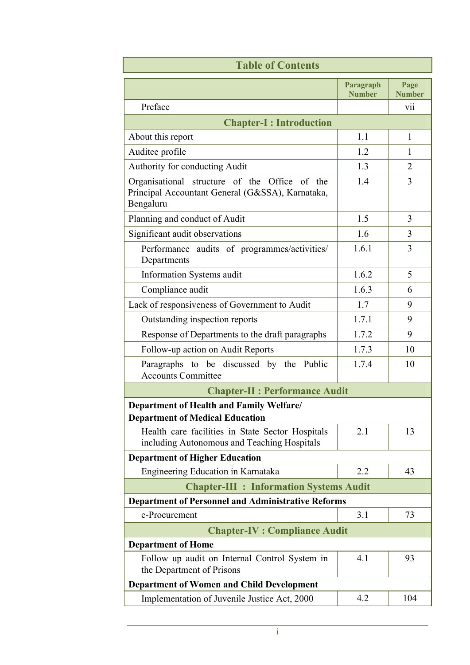| <b>Table of Contents</b>                                                                                       |                            |                       |  |  |
|----------------------------------------------------------------------------------------------------------------|----------------------------|-----------------------|--|--|
|                                                                                                                | Paragraph<br><b>Number</b> | Page<br><b>Number</b> |  |  |
| Preface                                                                                                        |                            | V11                   |  |  |
| <b>Chapter-I: Introduction</b>                                                                                 |                            |                       |  |  |
| About this report                                                                                              | 1.1                        | $\mathbf{1}$          |  |  |
| Auditee profile                                                                                                | 1.2                        | 1                     |  |  |
| Authority for conducting Audit                                                                                 | 1.3                        | $\overline{2}$        |  |  |
| Organisational structure of the Office of the<br>Principal Accountant General (G&SSA), Karnataka,<br>Bengaluru | 1.4                        | $\overline{3}$        |  |  |
| Planning and conduct of Audit                                                                                  | 1.5                        | $\overline{3}$        |  |  |
| Significant audit observations                                                                                 | 1.6                        | 3                     |  |  |
| Performance audits of programmes/activities/<br>Departments                                                    | 1.6.1                      | 3                     |  |  |
| Information Systems audit                                                                                      | 1.6.2                      | 5                     |  |  |
| Compliance audit                                                                                               | 1.6.3                      | 6                     |  |  |
| Lack of responsiveness of Government to Audit                                                                  | 1.7                        | 9                     |  |  |
| Outstanding inspection reports                                                                                 | 1.7.1                      | 9                     |  |  |
| Response of Departments to the draft paragraphs                                                                | 1.7.2                      | 9                     |  |  |
| Follow-up action on Audit Reports                                                                              | 1.7.3                      | 10                    |  |  |
| Paragraphs to be discussed by the Public<br><b>Accounts Committee</b>                                          | 1.7.4                      | 10                    |  |  |
| <b>Chapter-II : Performance Audit</b>                                                                          |                            |                       |  |  |
| Department of Health and Family Welfare/<br><b>Department of Medical Education</b>                             |                            |                       |  |  |
| Health care facilities in State Sector Hospitals<br>including Autonomous and Teaching Hospitals                | 2.1                        | 13                    |  |  |
| <b>Department of Higher Education</b>                                                                          |                            |                       |  |  |
| Engineering Education in Karnataka                                                                             | 2.2                        | 43                    |  |  |
| <b>Chapter-III : Information Systems Audit</b>                                                                 |                            |                       |  |  |
| <b>Department of Personnel and Administrative Reforms</b>                                                      |                            |                       |  |  |
| e-Procurement                                                                                                  | 3.1                        | 73                    |  |  |
| <b>Chapter-IV : Compliance Audit</b>                                                                           |                            |                       |  |  |
| <b>Department of Home</b>                                                                                      |                            |                       |  |  |
| Follow up audit on Internal Control System in<br>the Department of Prisons                                     | 4.1                        | 93                    |  |  |
| <b>Department of Women and Child Development</b>                                                               |                            |                       |  |  |
| Implementation of Juvenile Justice Act, 2000                                                                   | 4.2                        | 104                   |  |  |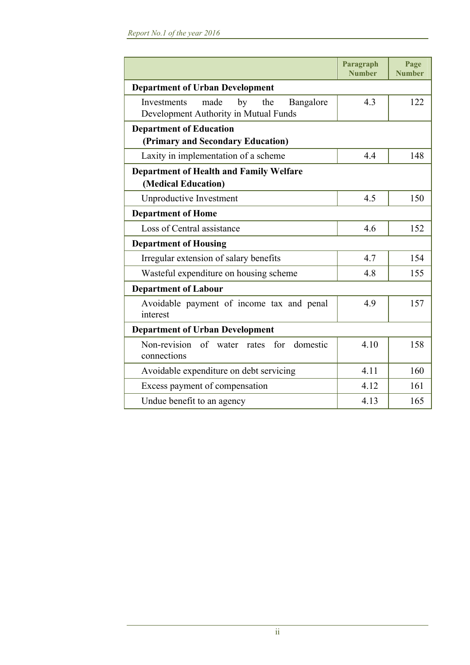|                                                                                        | Paragraph<br><b>Number</b> | Page<br><b>Number</b> |  |
|----------------------------------------------------------------------------------------|----------------------------|-----------------------|--|
| <b>Department of Urban Development</b>                                                 |                            |                       |  |
| made<br>by<br>Investments<br>the<br>Bangalore<br>Development Authority in Mutual Funds | 4.3                        | 122                   |  |
| <b>Department of Education</b>                                                         |                            |                       |  |
| (Primary and Secondary Education)                                                      |                            |                       |  |
| Laxity in implementation of a scheme                                                   | 4.4                        | 148                   |  |
| <b>Department of Health and Family Welfare</b>                                         |                            |                       |  |
| (Medical Education)                                                                    |                            |                       |  |
| <b>Unproductive Investment</b>                                                         | 4.5                        | 150                   |  |
| <b>Department of Home</b>                                                              |                            |                       |  |
| Loss of Central assistance                                                             | 4.6                        | 152                   |  |
| <b>Department of Housing</b>                                                           |                            |                       |  |
| Irregular extension of salary benefits                                                 | 4.7                        | 154                   |  |
| Wasteful expenditure on housing scheme                                                 | 4.8                        | 155                   |  |
| <b>Department of Labour</b>                                                            |                            |                       |  |
| Avoidable payment of income tax and penal<br>interest                                  | 4.9                        | 157                   |  |
| <b>Department of Urban Development</b>                                                 |                            |                       |  |
| Non-revision of water rates for domestic<br>connections                                | 4.10                       | 158                   |  |
| Avoidable expenditure on debt servicing                                                | 4.11                       | 160                   |  |
| Excess payment of compensation                                                         | 4.12                       | 161                   |  |
| Undue benefit to an agency                                                             | 4.13                       | 165                   |  |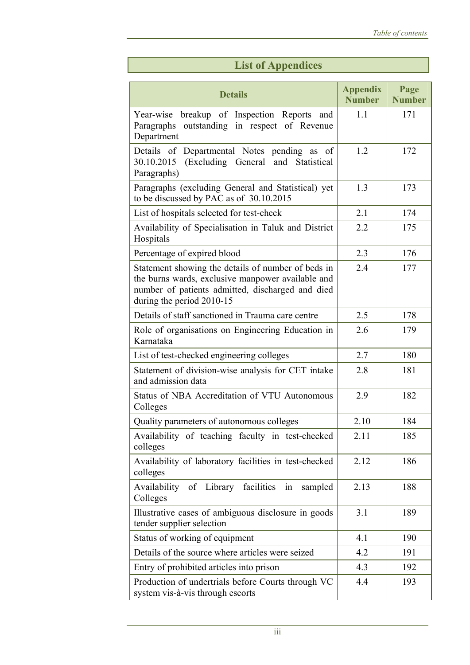|  | <b>List of Appendices</b> |
|--|---------------------------|
|  |                           |

| <b>Details</b>                                                                                                                                                                           | <b>Appendix</b><br><b>Number</b> | Page<br><b>Number</b> |
|------------------------------------------------------------------------------------------------------------------------------------------------------------------------------------------|----------------------------------|-----------------------|
| breakup of Inspection Reports and<br>Year-wise<br>outstanding in respect of Revenue<br>Paragraphs<br>Department                                                                          | 1.1                              | 171                   |
| Details of Departmental Notes pending as of<br>(Excluding General and<br>30.10.2015<br>Statistical<br>Paragraphs)                                                                        | 1.2                              | 172                   |
| Paragraphs (excluding General and Statistical) yet<br>to be discussed by PAC as of 30.10.2015                                                                                            | 1.3                              | 173                   |
| List of hospitals selected for test-check                                                                                                                                                | 2.1                              | 174                   |
| Availability of Specialisation in Taluk and District<br>Hospitals                                                                                                                        | 2.2                              | 175                   |
| Percentage of expired blood                                                                                                                                                              | 2.3                              | 176                   |
| Statement showing the details of number of beds in<br>the burns wards, exclusive manpower available and<br>number of patients admitted, discharged and died<br>during the period 2010-15 | 2.4                              | 177                   |
| Details of staff sanctioned in Trauma care centre                                                                                                                                        | 2.5                              | 178                   |
| Role of organisations on Engineering Education in<br>Karnataka                                                                                                                           | 2.6                              | 179                   |
| List of test-checked engineering colleges                                                                                                                                                | 2.7                              | 180                   |
| Statement of division-wise analysis for CET intake<br>and admission data                                                                                                                 | 2.8                              | 181                   |
| Status of NBA Accreditation of VTU Autonomous<br>Colleges                                                                                                                                | 2.9                              | 182                   |
| Quality parameters of autonomous colleges                                                                                                                                                | 2.10                             | 184                   |
| Availability of teaching faculty in test-checked<br>colleges                                                                                                                             | 2.11                             | 185                   |
| Availability of laboratory facilities in test-checked<br>colleges                                                                                                                        | 2.12                             | 186                   |
| facilities<br>Availability of Library<br>sampled<br>1n<br>Colleges                                                                                                                       | 2.13                             | 188                   |
| Illustrative cases of ambiguous disclosure in goods<br>tender supplier selection                                                                                                         | 3.1                              | 189                   |
| Status of working of equipment                                                                                                                                                           | 4.1                              | 190                   |
| Details of the source where articles were seized                                                                                                                                         | 4.2                              | 191                   |
| Entry of prohibited articles into prison                                                                                                                                                 | 4.3                              | 192                   |
| Production of undertrials before Courts through VC<br>system vis-à-vis through escorts                                                                                                   | 4.4                              | 193                   |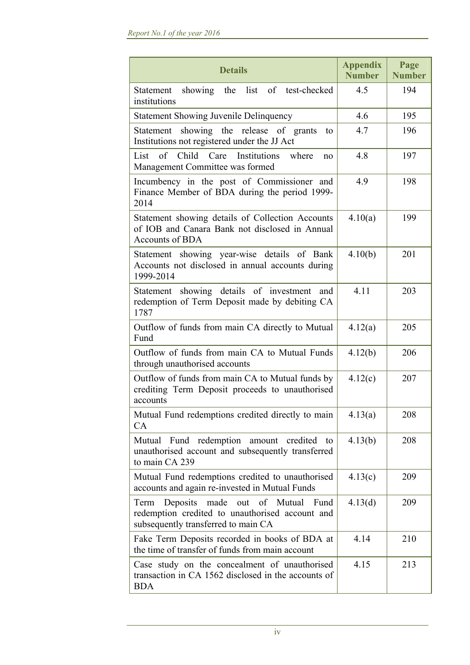| <b>Details</b>                                                                                                                              | <b>Appendix</b><br><b>Number</b> | Page<br><b>Number</b> |
|---------------------------------------------------------------------------------------------------------------------------------------------|----------------------------------|-----------------------|
| showing the list of test-checked<br>Statement<br>institutions                                                                               | 4.5                              | 194                   |
| <b>Statement Showing Juvenile Delinquency</b>                                                                                               | 4.6                              | 195                   |
| Statement showing the release of grants<br>to<br>Institutions not registered under the JJ Act                                               | 4.7                              | 196                   |
| Care Institutions<br>List<br>of Child<br>where<br>no<br>Management Committee was formed                                                     | 4.8                              | 197                   |
| Incumbency in the post of Commissioner and<br>Finance Member of BDA during the period 1999-<br>2014                                         | 4.9                              | 198                   |
| Statement showing details of Collection Accounts<br>of IOB and Canara Bank not disclosed in Annual<br><b>Accounts of BDA</b>                | 4.10(a)                          | 199                   |
| Statement showing year-wise details of Bank<br>Accounts not disclosed in annual accounts during<br>1999-2014                                | 4.10(b)                          | 201                   |
| Statement showing details of investment and<br>redemption of Term Deposit made by debiting CA<br>1787                                       | 4.11                             | 203                   |
| Outflow of funds from main CA directly to Mutual<br>Fund                                                                                    | 4.12(a)                          | 205                   |
| Outflow of funds from main CA to Mutual Funds<br>through unauthorised accounts                                                              | 4.12(b)                          | 206                   |
| Outflow of funds from main CA to Mutual funds by<br>crediting Term Deposit proceeds to unauthorised<br>accounts                             | 4.12(c)                          | 207                   |
| Mutual Fund redemptions credited directly to main<br><b>CA</b>                                                                              | 4.13(a)                          | 208                   |
| redemption amount credited<br>Mutual Fund<br>to<br>unauthorised account and subsequently transferred<br>to main CA 239                      | 4.13(b)                          | 208                   |
| Mutual Fund redemptions credited to unauthorised<br>accounts and again re-invested in Mutual Funds                                          | 4.13(c)                          | 209                   |
| Deposits<br>made<br>out of Mutual<br>Term<br>Fund<br>redemption credited to unauthorised account and<br>subsequently transferred to main CA | 4.13(d)                          | 209                   |
| Fake Term Deposits recorded in books of BDA at<br>the time of transfer of funds from main account                                           | 4.14                             | 210                   |
| Case study on the concealment of unauthorised<br>transaction in CA 1562 disclosed in the accounts of<br><b>BDA</b>                          | 4.15                             | 213                   |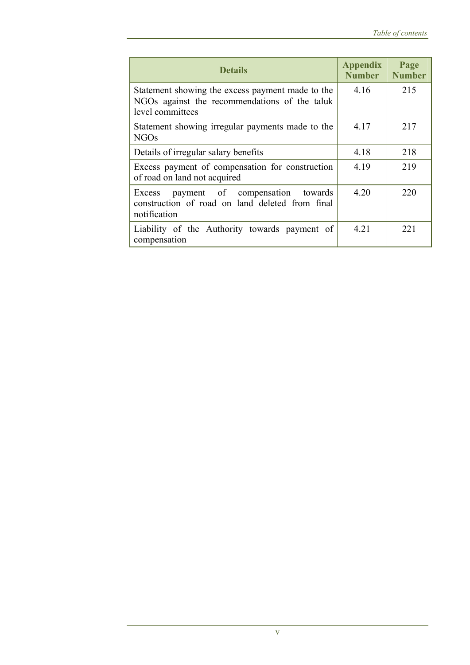| <b>Details</b>                                                                                                        | <b>Appendix</b><br><b>Number</b> | Page<br><b>Number</b> |
|-----------------------------------------------------------------------------------------------------------------------|----------------------------------|-----------------------|
| Statement showing the excess payment made to the<br>NGOs against the recommendations of the taluk<br>level committees | 4.16                             | 215                   |
| Statement showing irregular payments made to the<br><b>NGOs</b>                                                       | 4.17                             | 217                   |
| Details of irregular salary benefits                                                                                  | 4.18                             | 218                   |
| Excess payment of compensation for construction<br>of road on land not acquired                                       | 4.19                             | 219                   |
| payment of compensation<br>towards<br>Excess<br>construction of road on land deleted from final<br>notification       | 4.20                             | 220                   |
| Liability of the Authority towards payment of<br>compensation                                                         | 4.21                             | 221                   |